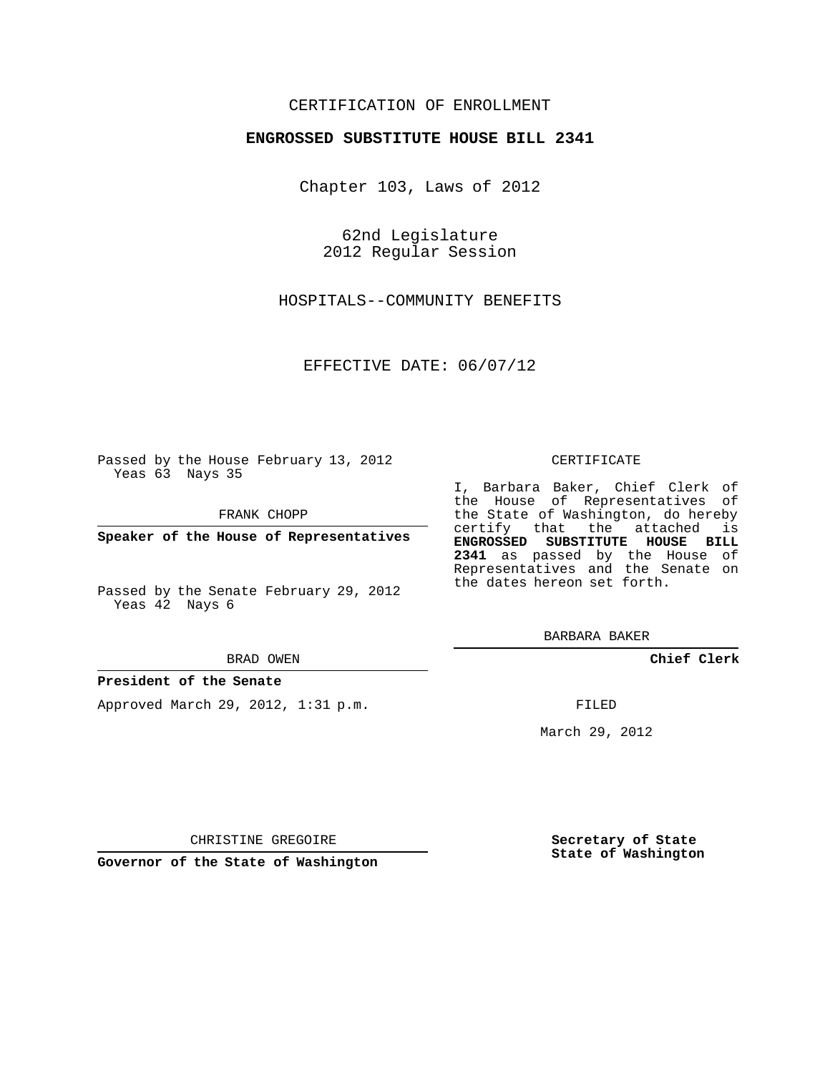# CERTIFICATION OF ENROLLMENT

### **ENGROSSED SUBSTITUTE HOUSE BILL 2341**

Chapter 103, Laws of 2012

62nd Legislature 2012 Regular Session

HOSPITALS--COMMUNITY BENEFITS

EFFECTIVE DATE: 06/07/12

Passed by the House February 13, 2012 Yeas 63 Nays 35

FRANK CHOPP

**Speaker of the House of Representatives**

Passed by the Senate February 29, 2012 Yeas 42 Nays 6

#### BRAD OWEN

#### **President of the Senate**

Approved March 29, 2012, 1:31 p.m.

#### CERTIFICATE

I, Barbara Baker, Chief Clerk of the House of Representatives of the State of Washington, do hereby certify that the attached is **ENGROSSED SUBSTITUTE HOUSE BILL 2341** as passed by the House of Representatives and the Senate on the dates hereon set forth.

BARBARA BAKER

**Chief Clerk**

FILED

March 29, 2012

CHRISTINE GREGOIRE

**Governor of the State of Washington**

**Secretary of State State of Washington**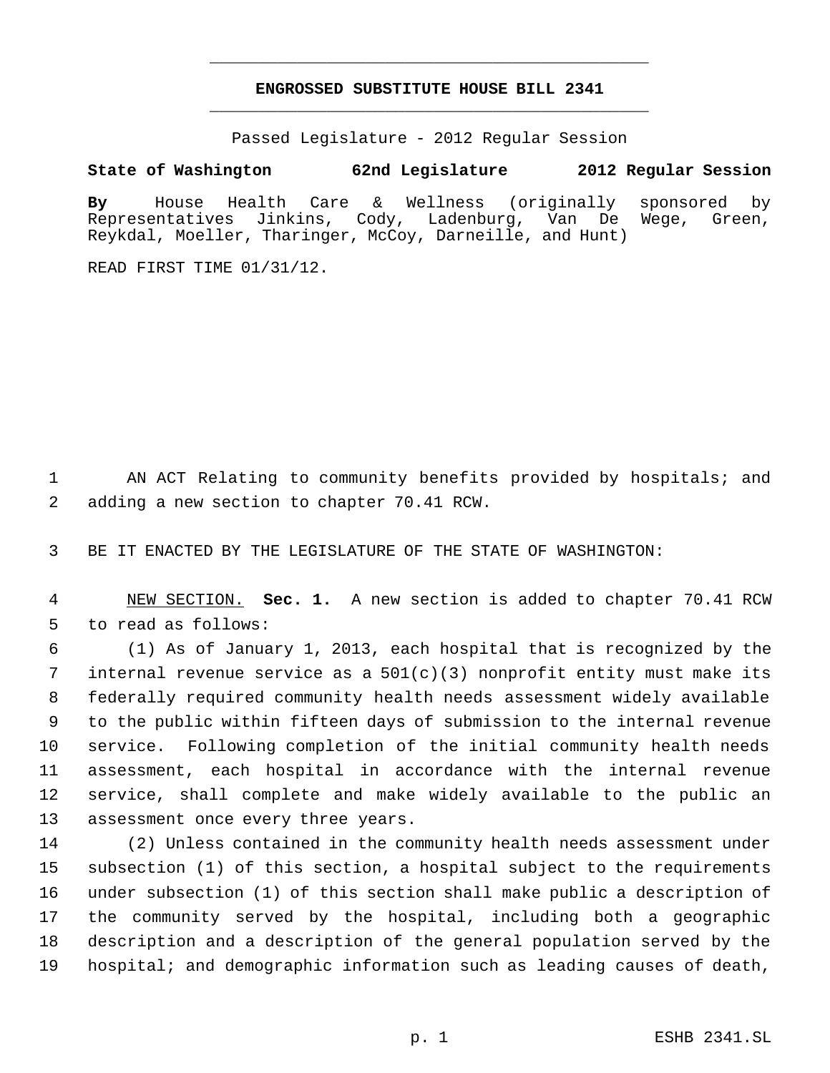# **ENGROSSED SUBSTITUTE HOUSE BILL 2341** \_\_\_\_\_\_\_\_\_\_\_\_\_\_\_\_\_\_\_\_\_\_\_\_\_\_\_\_\_\_\_\_\_\_\_\_\_\_\_\_\_\_\_\_\_

\_\_\_\_\_\_\_\_\_\_\_\_\_\_\_\_\_\_\_\_\_\_\_\_\_\_\_\_\_\_\_\_\_\_\_\_\_\_\_\_\_\_\_\_\_

Passed Legislature - 2012 Regular Session

# **State of Washington 62nd Legislature 2012 Regular Session**

**By** House Health Care & Wellness (originally sponsored by Representatives Jinkins, Cody, Ladenburg, Van De Wege, Green, Reykdal, Moeller, Tharinger, McCoy, Darneille, and Hunt)

READ FIRST TIME 01/31/12.

 AN ACT Relating to community benefits provided by hospitals; and adding a new section to chapter 70.41 RCW.

BE IT ENACTED BY THE LEGISLATURE OF THE STATE OF WASHINGTON:

 NEW SECTION. **Sec. 1.** A new section is added to chapter 70.41 RCW to read as follows:

 (1) As of January 1, 2013, each hospital that is recognized by the internal revenue service as a 501(c)(3) nonprofit entity must make its federally required community health needs assessment widely available to the public within fifteen days of submission to the internal revenue service. Following completion of the initial community health needs assessment, each hospital in accordance with the internal revenue service, shall complete and make widely available to the public an assessment once every three years.

 (2) Unless contained in the community health needs assessment under subsection (1) of this section, a hospital subject to the requirements under subsection (1) of this section shall make public a description of the community served by the hospital, including both a geographic description and a description of the general population served by the hospital; and demographic information such as leading causes of death,